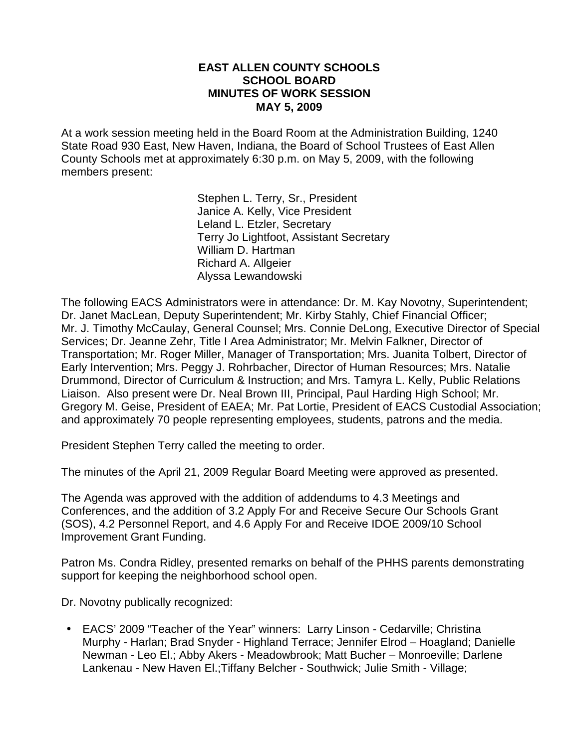#### **EAST ALLEN COUNTY SCHOOLS SCHOOL BOARD MINUTES OF WORK SESSION MAY 5, 2009**

At a work session meeting held in the Board Room at the Administration Building, 1240 State Road 930 East, New Haven, Indiana, the Board of School Trustees of East Allen County Schools met at approximately 6:30 p.m. on May 5, 2009, with the following members present:

> Stephen L. Terry, Sr., President Janice A. Kelly, Vice President Leland L. Etzler, Secretary Terry Jo Lightfoot, Assistant Secretary William D. Hartman Richard A. Allgeier Alyssa Lewandowski

The following EACS Administrators were in attendance: Dr. M. Kay Novotny, Superintendent; Dr. Janet MacLean, Deputy Superintendent; Mr. Kirby Stahly, Chief Financial Officer; Mr. J. Timothy McCaulay, General Counsel; Mrs. Connie DeLong, Executive Director of Special Services; Dr. Jeanne Zehr, Title I Area Administrator; Mr. Melvin Falkner, Director of Transportation; Mr. Roger Miller, Manager of Transportation; Mrs. Juanita Tolbert, Director of Early Intervention; Mrs. Peggy J. Rohrbacher, Director of Human Resources; Mrs. Natalie Drummond, Director of Curriculum & Instruction; and Mrs. Tamyra L. Kelly, Public Relations Liaison. Also present were Dr. Neal Brown III, Principal, Paul Harding High School; Mr. Gregory M. Geise, President of EAEA; Mr. Pat Lortie, President of EACS Custodial Association; and approximately 70 people representing employees, students, patrons and the media.

President Stephen Terry called the meeting to order.

The minutes of the April 21, 2009 Regular Board Meeting were approved as presented.

The Agenda was approved with the addition of addendums to 4.3 Meetings and Conferences, and the addition of 3.2 Apply For and Receive Secure Our Schools Grant (SOS), 4.2 Personnel Report, and 4.6 Apply For and Receive IDOE 2009/10 School Improvement Grant Funding.

Patron Ms. Condra Ridley, presented remarks on behalf of the PHHS parents demonstrating support for keeping the neighborhood school open.

Dr. Novotny publically recognized:

• EACS' 2009 "Teacher of the Year" winners: Larry Linson - Cedarville; Christina Murphy - Harlan; Brad Snyder - Highland Terrace; Jennifer Elrod – Hoagland; Danielle Newman - Leo El.; Abby Akers - Meadowbrook; Matt Bucher – Monroeville; Darlene Lankenau - New Haven El.;Tiffany Belcher - Southwick; Julie Smith - Village;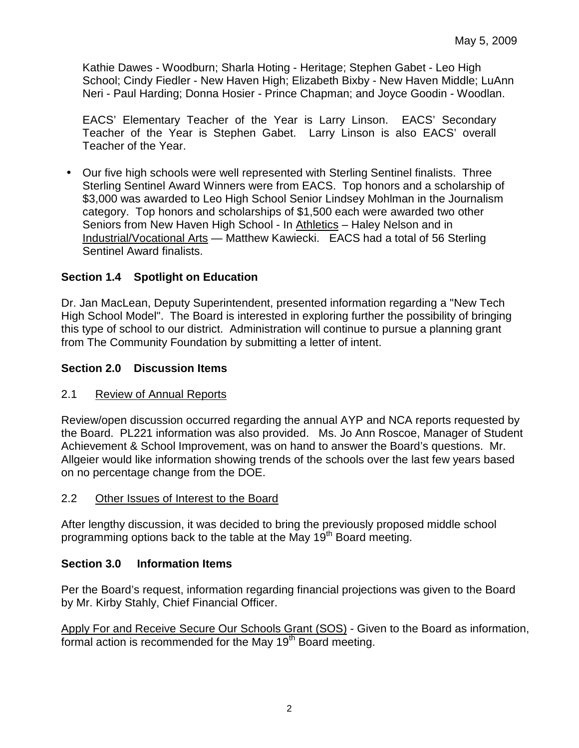Kathie Dawes - Woodburn; Sharla Hoting - Heritage; Stephen Gabet - Leo High School; Cindy Fiedler - New Haven High; Elizabeth Bixby - New Haven Middle; LuAnn Neri - Paul Harding; Donna Hosier - Prince Chapman; and Joyce Goodin - Woodlan.

EACS' Elementary Teacher of the Year is Larry Linson. EACS' Secondary Teacher of the Year is Stephen Gabet. Larry Linson is also EACS' overall Teacher of the Year.

• Our five high schools were well represented with Sterling Sentinel finalists. Three Sterling Sentinel Award Winners were from EACS. Top honors and a scholarship of \$3,000 was awarded to Leo High School Senior Lindsey Mohlman in the Journalism category. Top honors and scholarships of \$1,500 each were awarded two other Seniors from New Haven High School - In Athletics – Haley Nelson and in Industrial/Vocational Arts — Matthew Kawiecki. EACS had a total of 56 Sterling Sentinel Award finalists.

# **Section 1.4 Spotlight on Education**

Dr. Jan MacLean, Deputy Superintendent, presented information regarding a "New Tech High School Model". The Board is interested in exploring further the possibility of bringing this type of school to our district. Administration will continue to pursue a planning grant from The Community Foundation by submitting a letter of intent.

# **Section 2.0 Discussion Items**

### 2.1 Review of Annual Reports

Review/open discussion occurred regarding the annual AYP and NCA reports requested by the Board. PL221 information was also provided. Ms. Jo Ann Roscoe, Manager of Student Achievement & School Improvement, was on hand to answer the Board's questions. Mr. Allgeier would like information showing trends of the schools over the last few years based on no percentage change from the DOE.

### 2.2 Other Issues of Interest to the Board

After lengthy discussion, it was decided to bring the previously proposed middle school programming options back to the table at the May 19<sup>th</sup> Board meeting.

### **Section 3.0 Information Items**

Per the Board's request, information regarding financial projections was given to the Board by Mr. Kirby Stahly, Chief Financial Officer.

Apply For and Receive Secure Our Schools Grant (SOS) - Given to the Board as information, formal action is recommended for the May 19<sup>th</sup> Board meeting.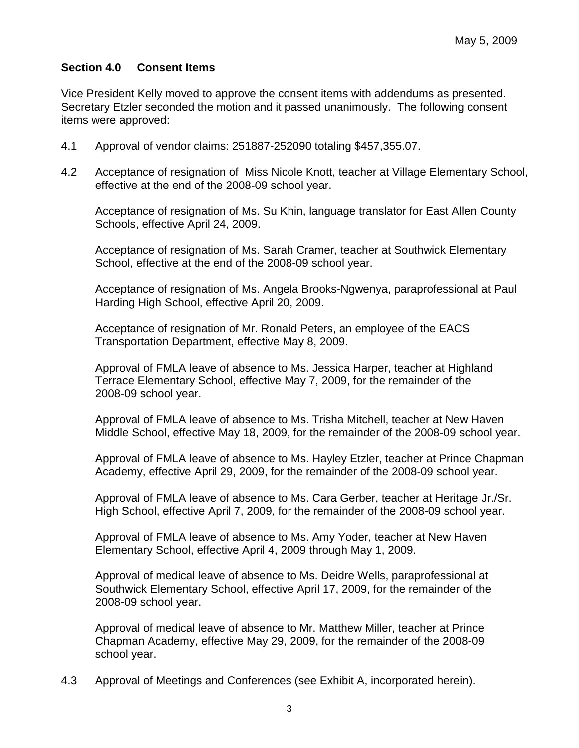# **Section 4.0 Consent Items**

Vice President Kelly moved to approve the consent items with addendums as presented. Secretary Etzler seconded the motion and it passed unanimously. The following consent items were approved:

- 4.1 Approval of vendor claims: 251887-252090 totaling \$457,355.07.
- 4.2 Acceptance of resignation of Miss Nicole Knott, teacher at Village Elementary School, effective at the end of the 2008-09 school year.

Acceptance of resignation of Ms. Su Khin, language translator for East Allen County Schools, effective April 24, 2009.

Acceptance of resignation of Ms. Sarah Cramer, teacher at Southwick Elementary School, effective at the end of the 2008-09 school year.

Acceptance of resignation of Ms. Angela Brooks-Ngwenya, paraprofessional at Paul Harding High School, effective April 20, 2009.

 Acceptance of resignation of Mr. Ronald Peters, an employee of the EACS Transportation Department, effective May 8, 2009.

 Approval of FMLA leave of absence to Ms. Jessica Harper, teacher at Highland Terrace Elementary School, effective May 7, 2009, for the remainder of the 2008-09 school year.

Approval of FMLA leave of absence to Ms. Trisha Mitchell, teacher at New Haven Middle School, effective May 18, 2009, for the remainder of the 2008-09 school year.

Approval of FMLA leave of absence to Ms. Hayley Etzler, teacher at Prince Chapman Academy, effective April 29, 2009, for the remainder of the 2008-09 school year.

Approval of FMLA leave of absence to Ms. Cara Gerber, teacher at Heritage Jr./Sr. High School, effective April 7, 2009, for the remainder of the 2008-09 school year.

Approval of FMLA leave of absence to Ms. Amy Yoder, teacher at New Haven Elementary School, effective April 4, 2009 through May 1, 2009.

Approval of medical leave of absence to Ms. Deidre Wells, paraprofessional at Southwick Elementary School, effective April 17, 2009, for the remainder of the 2008-09 school year.

Approval of medical leave of absence to Mr. Matthew Miller, teacher at Prince Chapman Academy, effective May 29, 2009, for the remainder of the 2008-09 school year.

4.3 Approval of Meetings and Conferences (see Exhibit A, incorporated herein).